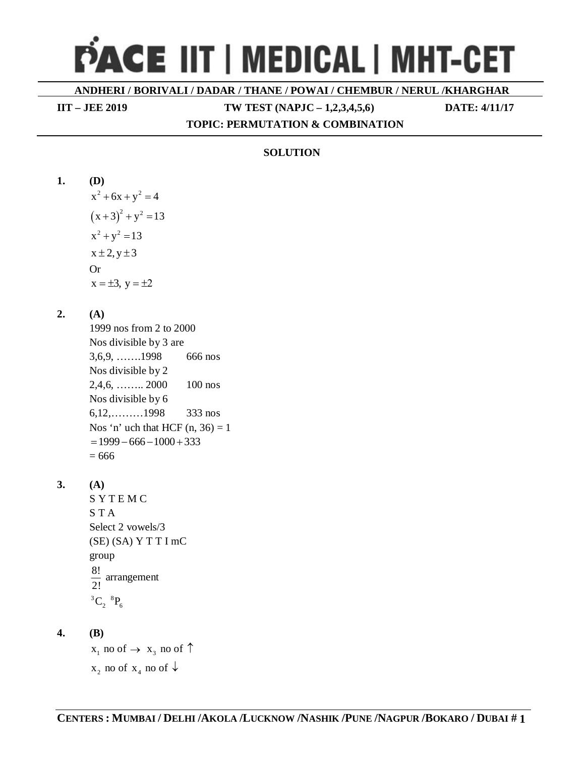# PACE IIT | MEDICAL | MHT-CET

ANDHERI / BORIVALI / DADAR / THANE / POWAI / CHEMBUR / NERUL /KHARGHAR

**IIT - JEE 2019** 

TW TEST (NAPJC  $-1,2,3,4,5,6$ )

DATE: 4/11/17

# TOPIC: PERMUTATION & COMBINATION

# **SOLUTION**

- $1.$ **(D)**  $x^2 + 6x + y^2 = 4$  $(x+3)^2 + y^2 = 13$  $x^2 + y^2 = 13$  $x \pm 2, y \pm 3$ **Or**  $x = \pm 3$ ,  $y = \pm 2$  $2.$  $(A)$ 1999 nos from 2 to 2000 Nos divisible by 3 are  $3,6,9, \ldots$ ........1998 666 nos Nos divisible by 2  $2,4,6, \ldots$  2000  $100$  nos Nos divisible by 6  $6,12, \ldots, 1998$  $333$  nos Nos 'n' uch that HCF  $(n, 36) = 1$  $= 1999 - 666 - 1000 + 333$  $= 666$  $3.$  $(A)$ SYTEMC **STA** Select 2 vowels/3  $(SE)$   $(SA)$   $Y$   $T$   $T$   $I$   $mC$ group  $\frac{8!}{2!}$  arrangement  ${}^{3}C_{2} {}^{8}P_{6}$  $\overline{4}$ .
	- **(B)**  $x_1$  no of  $\rightarrow x_3$  no of  $\uparrow$  $x_2$  no of  $x_4$  no of  $\downarrow$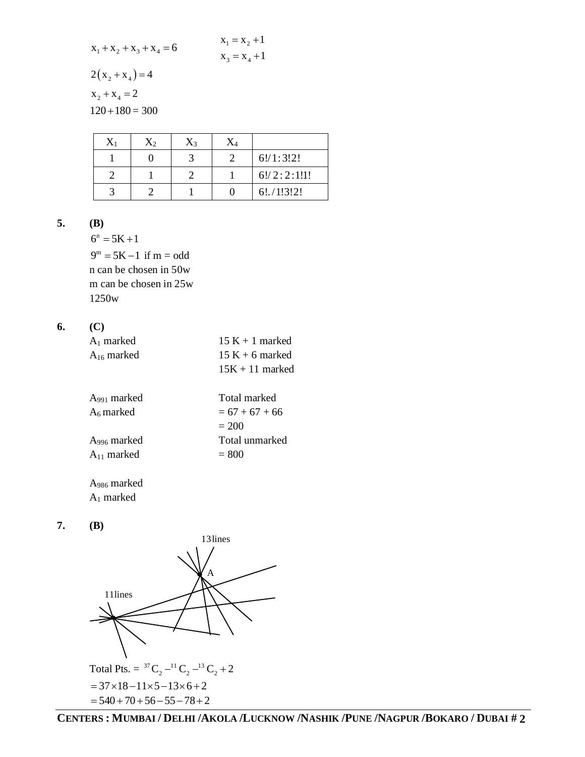$x_1 = x_2 + 1$  $x_1 + x_2 + x_3 + x_4 = 6$  $x_3 = x_4 + 1$  $2(x_2 + x_4) = 4$  $x_2 + x_4 = 2$ 

 $120 + 180 = 300$ 

| $X_2$ | $\mathrm{X}_3$ |             |
|-------|----------------|-------------|
|       |                | 6!/1:3!2!   |
|       |                | 6!/2:2:1!1! |
|       |                | 6!/1!3!2!   |

5.  $(B)$ 

> $6^n = 5K + 1$  $9^m = 5K - 1$  if  $m = odd$ n can be chosen in 50w m can be chosen in 25w 1250w

#### 6.  $(C)$

| $A_1$ marked    | $15 K + 1$ marked |
|-----------------|-------------------|
| $A_{16}$ marked | $15 K + 6$ marked |
|                 | $15K + 11$ marked |

| $A_{991}$ marked | Total marked     |
|------------------|------------------|
| $A_6$ marked     | $= 67 + 67 + 66$ |
|                  | $= 200$          |
| $A_{996}$ marked | Total unmarked   |
| $A_{11}$ marked  | $= 800$          |
|                  |                  |

A<sub>986</sub> marked  $A_1$  marked

7.  $(B)$ 

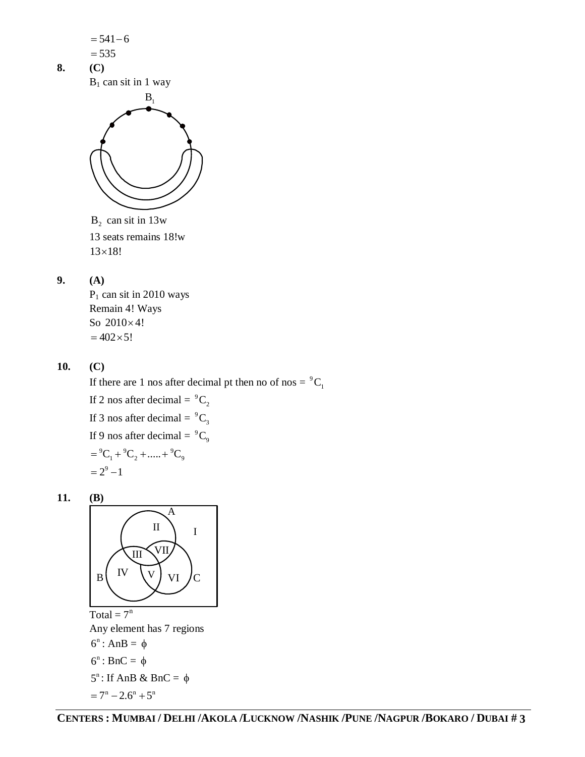

 $P_1$  can sit in 2010 ways Remain 4! Ways So  $2010\times4!$  $= 402 \times 5!$ 

**10. (C)**

If there are 1 nos after decimal pt then no of nos =  $^9C_1$ If 2 nos after decimal =  $^9C_2$ If 3 nos after decimal =  $^9C_3$ If 9 nos after decimal =  $^{9}C_{0}$  $= {}^{9}C_{1} + {}^{9}C_{2} + \dots + {}^{9}C_{9}$  $= 2^9 - 1$ 

**11. (B)**



Total =  $7^n$ Any element has 7 regions  $6^n$ : AnB =  $\phi$  $6^n$ : BnC =  $\phi$  $5^n$ : If AnB & BnC =  $\phi$  $= 7^n - 2.6^n + 5^n$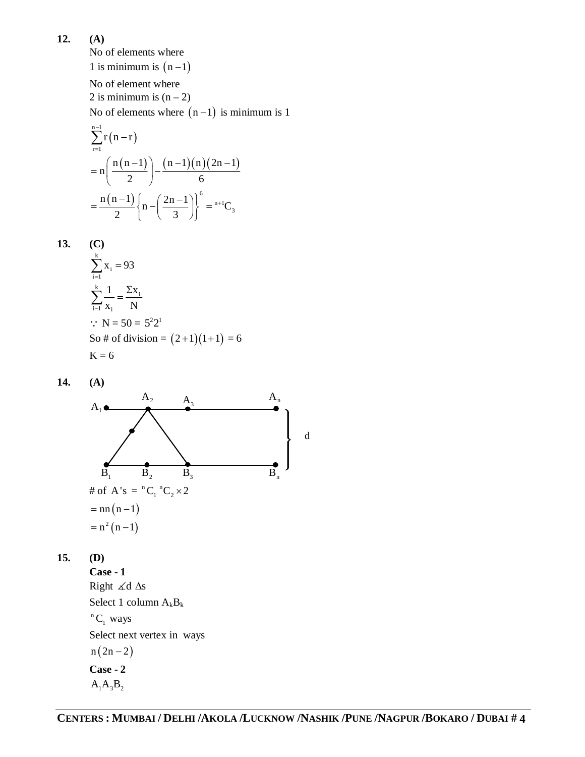**12. (A)**

No of elements where 1 is minimum is  $(n-1)$ No of element where 2 is minimum is  $(n-2)$ No of elements where  $(n - 1)$  is minimum is 1

$$
\sum_{r=1}^{n-1} r(n-r)
$$
  
=  $n \left( \frac{n(n-1)}{2} \right) - \frac{(n-1)(n)(2n-1)}{6}$   
=  $\frac{n(n-1)}{2} \left\{ n - \left( \frac{2n-1}{3} \right) \right\}^6 = {^{n+1}C_3}$ 

13. (C)  
\n
$$
\sum_{i=1}^{k} x_i = 93
$$
\n
$$
\sum_{i=1}^{k} \frac{1}{x_i} = \frac{\sum x_i}{N}
$$
\n
$$
\therefore N = 50 = 5^2 2^1
$$
\nSo # of division = (2+1)(1+1) = 6  
\nK = 6

**14. (A)**



**15. (D)**

**Case - 1** Right  $\measuredangle d$   $\Delta s$ Select 1 column  $A_kB_k$  ${}^nC_1$  ways Select next vertex in ways  $n(2n - 2)$ **Case - 2**  $A_1A_3B_2$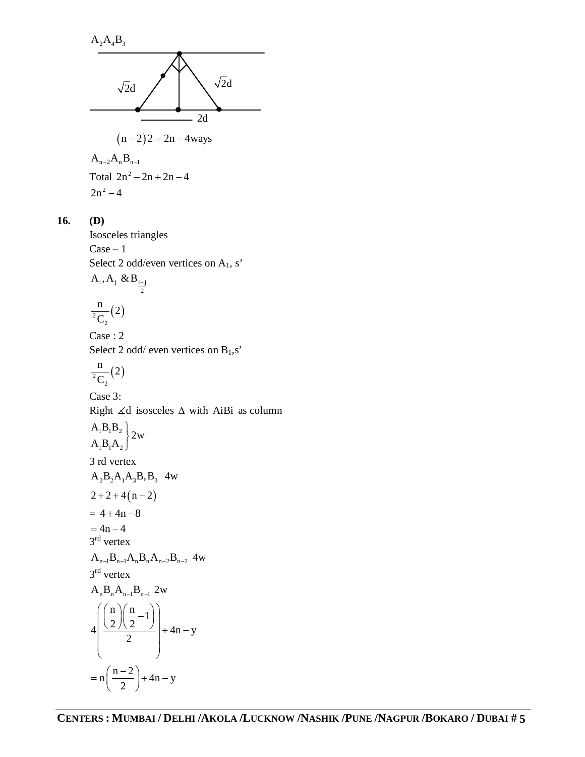$A_2A_4B_3$  $\sqrt{2}d$   $\sqrt{2}d$ 2d  $(n-2)$  2 = 2n - 4ways  $A_{n-2}A_nB_{n-1}$ Total  $2n^2 - 2n + 2n - 4$  $2n^2 - 4$ 

### **16. (D)**

Isosceles triangles  $Case - 1$ Select 2 odd/even vertices on  $A_1$ , s'  $i^{j}$  i w $\boldsymbol{\mu}_{i+j}$ 2  $A_{i}, A_{j} \& B_{i+}$  $\frac{1}{^{2}C_{2}}(2)$  $\frac{n}{2}$ (2)  $\mathcal{C}_{0}^{(n)}$ Case : 2

Select 2 odd/ even vertices on  $B_1$ ,s'

$$
\frac{n}{^2C_2}(2)
$$

Case 3: Right  $\angle d$  isosceles  $\triangle$  with AiBi as column  $A_1B_1B_2$  $A_1B_1A_2$  $\left\{2w\right\}$  $\left\{ \right.$ 3 rd vertex  $A_2B_2A_1A_3B_1B_3$  4w  $2 + 2 + 4(n - 2)$  $= 4 + 4n - 8$  $= 4n - 4$ 3<sup>rd</sup> vertex  $A_{n-1}B_{n-1}A_nB_nA_{n-2}B_{n-2}$  4w 3<sup>rd</sup> vertex  $A_n B_n A_{n-1} B_{n-1} 2w$  $\frac{n}{2}$  $\left(\frac{n}{2} - 1\right)$  $4\frac{(2)(2)}{2}$  + 4n - y 2  $\left(\frac{\left(\frac{n}{2}\right)\left(\frac{n}{2}-1\right)}{2}\right)+4n-y$  $\ln\left(\frac{n-2}{2}\right) + 4n - y$ 2  $= n \left( \frac{n-2}{2} \right) + 4n - y$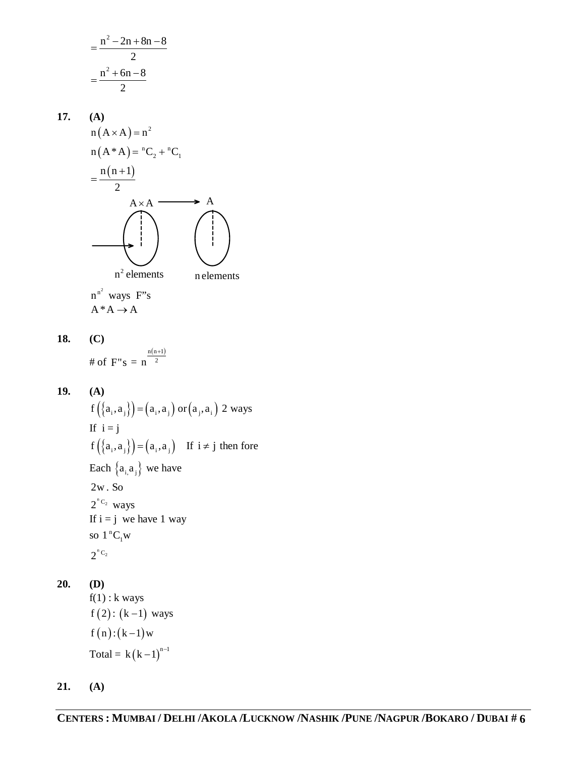$$
=\frac{n^2 - 2n + 8n - 8}{2}
$$

$$
=\frac{n^2 + 6n - 8}{2}
$$

17. (A)  
\n
$$
n(A \times A) = n^2
$$
\n
$$
n(A^*A) = {^nC_2} + {^nC_1}
$$
\n
$$
= \frac{n(n+1)}{2}
$$
\n
$$
A \times A
$$
\n
$$
n^2
$$
 elements

 $n^{n^2}$  ways F"s  $A^*A \rightarrow A$ 

**18. (C)**

# of  $F's =$  $n(n+1)$  $n<sup>2</sup>$  $^{+}$ 

**19. (A)**  $f\left(\left\{a_{i},a_{j}\right\}\right) = \left(a_{i},a_{j}\right)$  or  $\left(a_{j},a_{i}\right)$  2 ways If  $i = j$  $f\left(\left\{a_i, a_j\right\}\right) = \left(a_i, a_j\right)$  If  $i \neq j$  then fore Each  ${a_i, a_j}$  we have 2w . So  $2^{nC_2}$  ways If  $i = j$  we have 1 way so  $1$ <sup>n</sup>C<sub>1</sub>W  $2^{nC_2}$ 

**20. (D)**

 $f(1)$ : k ways  $f(2) : (k-1)$  ways  $f(n)$ :  $(k-1)$  w Total =  $k(k-1)^{n-1}$ 

**21. (A)**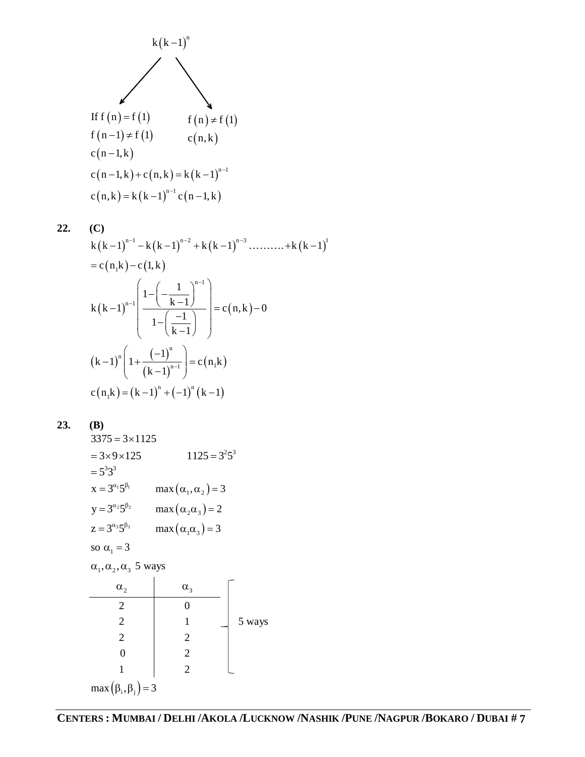

22. (C)  
\n
$$
k(k-1)^{n-1} - k(k-1)^{n-2} + k(k-1)^{n-3} \dots \dots \dots + k(k-1)^{n}
$$
\n
$$
= c(n_1k) - c(1,k)
$$
\n
$$
k(k-1)^{n-1} \left( \frac{1 - \left( -\frac{1}{k-1} \right)^{n-1}}{1 - \left( \frac{-1}{k-1} \right)} \right) = c(n,k) - 0
$$
\n
$$
(k-1)^n \left( 1 + \frac{(-1)^n}{(k-1)^{n-1}} \right) = c(n_1k)
$$
\n
$$
c(n_1k) = (k-1)^n + (-1)^n (k-1)
$$

$$
23. \t(B)
$$

 $3375 = 3 \times 1125$  $= 3 \times 9 \times 125$   $1125 = 3^2 5^3$  $= 5^3 3^3$  $x = 3^{\alpha_1} 5^{\beta_1}$  $max(\alpha_1, \alpha_2) = 3$  $y = 3^{\alpha_2} 5^{\beta_2}$  $max(\alpha_2 \alpha_3) = 2$  $z = 3^{\alpha_3} 5^{\beta_3}$  $max(\alpha_1\alpha_3) = 3$ so  $\alpha_1 = 3$  $\alpha_1, \alpha_2, \alpha_3$  5 ways  $\alpha_2$   $\alpha_3$ 2 0 2 1  $\frac{1}{5}$  vays 2 2 0 2 1 2  $max(\beta_i, \beta_j) = 3$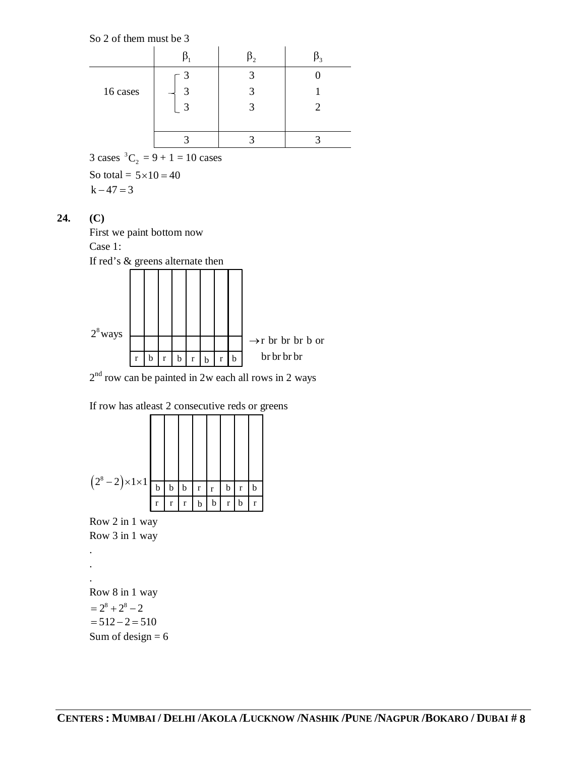So 2 of them must be 3

| 16 cases | q | 2 |  |
|----------|---|---|--|
|          | ς | 2 |  |
|          |   |   |  |
|          |   |   |  |
| $\sim$   |   |   |  |

3 cases  ${}^3C_2 = 9 + 1 = 10$  cases

So total =  $5 \times 10 = 40$  $k - 47 = 3$ 

## **24. (C)**

First we paint bottom now Case 1:



 $2<sup>nd</sup>$  row can be painted in 2w each all rows in 2 ways

| If row has at least 2 consecutive reds or greens |  |
|--------------------------------------------------|--|
|--------------------------------------------------|--|



Row 2 in 1 way Row 3 in 1 way

. .

. Row 8 in 1 way  $= 2^8 + 2^8 - 2$  $= 512 - 2 = 510$ Sum of design  $= 6$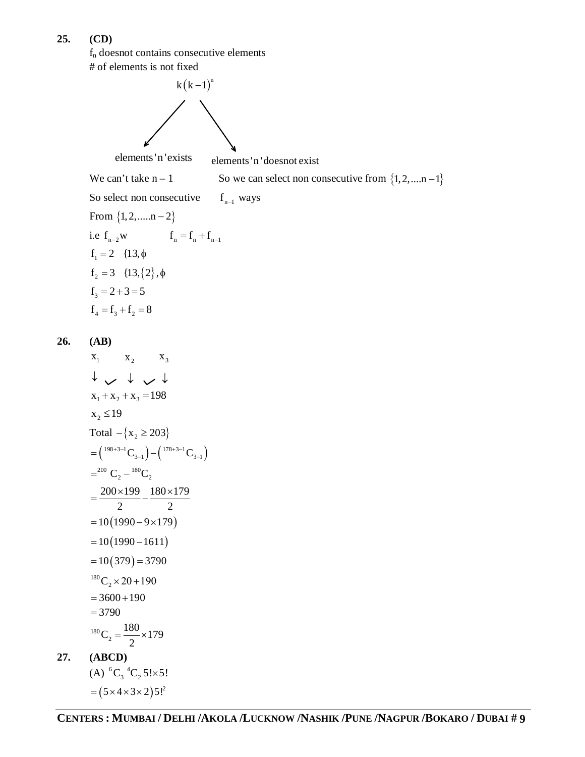## **25. (CD)**

f<sup>n</sup> doesnot contains consecutive elements # of elements is not fixed



 $= (5 \times 4 \times 3 \times 2)5$ !<sup>2</sup>